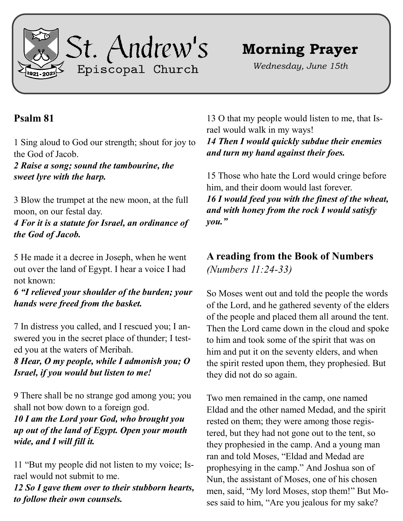

## **Morning Prayer**

*Wednesday, June 15th*

## **Psalm 81**

1 Sing aloud to God our strength; shout for joy to the God of Jacob.

*2 Raise a song; sound the tambourine, the sweet lyre with the harp.*

3 Blow the trumpet at the new moon, at the full moon, on our festal day.

*4 For it is a statute for Israel, an ordinance of the God of Jacob.*

5 He made it a decree in Joseph, when he went out over the land of Egypt. I hear a voice I had not known:

*6 "I relieved your shoulder of the burden; your hands were freed from the basket.*

7 In distress you called, and I rescued you; I answered you in the secret place of thunder; I tested you at the waters of Meribah.

*8 Hear, O my people, while I admonish you; O Israel, if you would but listen to me!*

9 There shall be no strange god among you; you shall not bow down to a foreign god.

*10 I am the Lord your God, who brought you up out of the land of Egypt. Open your mouth wide, and I will fill it.*

11 "But my people did not listen to my voice; Israel would not submit to me.

*12 So I gave them over to their stubborn hearts, to follow their own counsels.*

13 O that my people would listen to me, that Israel would walk in my ways!

*14 Then I would quickly subdue their enemies and turn my hand against their foes.*

15 Those who hate the Lord would cringe before him, and their doom would last forever. *16 I would feed you with the finest of the wheat, and with honey from the rock I would satisfy you."*

## **A reading from the Book of Numbers**  *(Numbers 11:24-33)*

So Moses went out and told the people the words of the Lord, and he gathered seventy of the elders of the people and placed them all around the tent. Then the Lord came down in the cloud and spoke to him and took some of the spirit that was on him and put it on the seventy elders, and when the spirit rested upon them, they prophesied. But they did not do so again.

Two men remained in the camp, one named Eldad and the other named Medad, and the spirit rested on them; they were among those registered, but they had not gone out to the tent, so they prophesied in the camp. And a young man ran and told Moses, "Eldad and Medad are prophesying in the camp." And Joshua son of Nun, the assistant of Moses, one of his chosen men, said, "My lord Moses, stop them!" But Moses said to him, "Are you jealous for my sake?